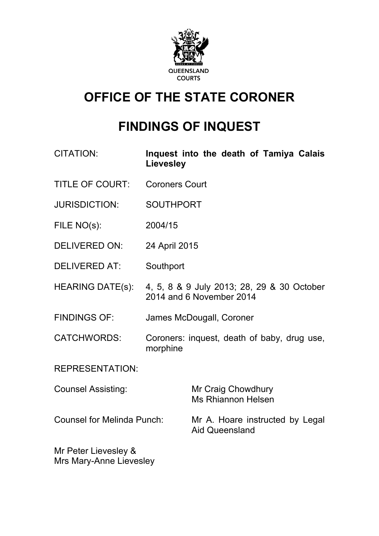

# **OFFICE OF THE STATE CORONER**

# **FINDINGS OF INQUEST**

- CITATION: **Inquest into the death of Tamiya Calais Lievesley**
- TITLE OF COURT: Coroners Court
- JURISDICTION: SOUTHPORT
- FILE NO(s): 2004/15
- DELIVERED ON: 24 April 2015
- DELIVERED AT: Southport
- HEARING DATE(s): 4, 5, 8 & 9 July 2013; 28, 29 & 30 October 2014 and 6 November 2014
- FINDINGS OF: James McDougall, Coroner
- CATCHWORDS: Coroners: inquest, death of baby, drug use, morphine

REPRESENTATION:

| <b>Counsel Assisting:</b>  | Mr Craig Chowdhury<br>Ms Rhiannon Helsen                 |
|----------------------------|----------------------------------------------------------|
| Counsel for Melinda Punch: | Mr A. Hoare instructed by Legal<br><b>Aid Queensland</b> |

Mr Peter Lievesley & Mrs Mary-Anne Lievesley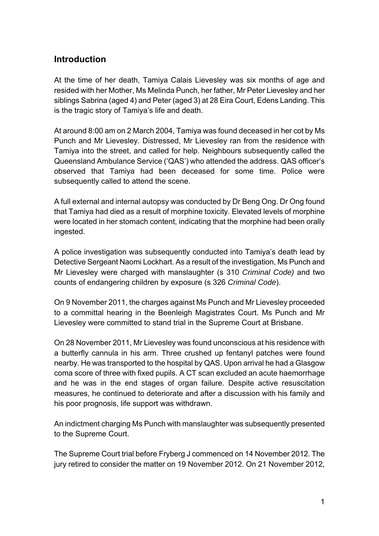# **Introduction**

At the time of her death, Tamiya Calais Lievesley was six months of age and resided with her Mother, Ms Melinda Punch, her father, Mr Peter Lievesley and her siblings Sabrina (aged 4) and Peter (aged 3) at 28 Eira Court, Edens Landing. This is the tragic story of Tamiya's life and death.

At around 8:00 am on 2 March 2004, Tamiya was found deceased in her cot by Ms Punch and Mr Lievesley. Distressed, Mr Lievesley ran from the residence with Tamiya into the street, and called for help. Neighbours subsequently called the Queensland Ambulance Service ('QAS') who attended the address. QAS officer's observed that Tamiya had been deceased for some time. Police were subsequently called to attend the scene.

A full external and internal autopsy was conducted by Dr Beng Ong. Dr Ong found that Tamiya had died as a result of morphine toxicity. Elevated levels of morphine were located in her stomach content, indicating that the morphine had been orally ingested.

A police investigation was subsequently conducted into Tamiya's death lead by Detective Sergeant Naomi Lockhart. As a result of the investigation, Ms Punch and Mr Lievesley were charged with manslaughter (s 310 *Criminal Code)* and two counts of endangering children by exposure (s 326 *Criminal Code*).

On 9 November 2011, the charges against Ms Punch and Mr Lievesley proceeded to a committal hearing in the Beenleigh Magistrates Court. Ms Punch and Mr Lievesley were committed to stand trial in the Supreme Court at Brisbane.

On 28 November 2011, Mr Lievesley was found unconscious at his residence with a butterfly cannula in his arm. Three crushed up fentanyl patches were found nearby. He was transported to the hospital by QAS. Upon arrival he had a Glasgow coma score of three with fixed pupils. A CT scan excluded an acute haemorrhage and he was in the end stages of organ failure. Despite active resuscitation measures, he continued to deteriorate and after a discussion with his family and his poor prognosis, life support was withdrawn.

An indictment charging Ms Punch with manslaughter was subsequently presented to the Supreme Court.

The Supreme Court trial before Fryberg J commenced on 14 November 2012. The jury retired to consider the matter on 19 November 2012. On 21 November 2012,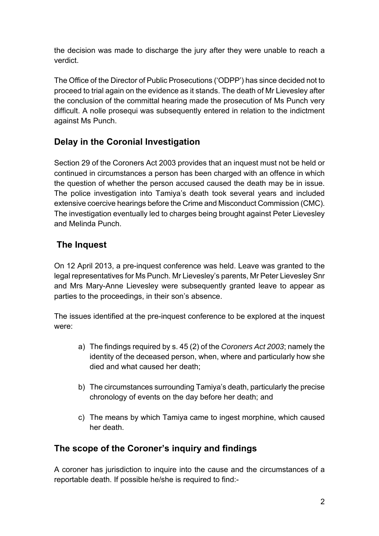the decision was made to discharge the jury after they were unable to reach a verdict.

The Office of the Director of Public Prosecutions ('ODPP') has since decided not to proceed to trial again on the evidence as it stands. The death of Mr Lievesley after the conclusion of the committal hearing made the prosecution of Ms Punch very difficult. A nolle prosequi was subsequently entered in relation to the indictment against Ms Punch.

# **Delay in the Coronial Investigation**

Section 29 of the Coroners Act 2003 provides that an inquest must not be held or continued in circumstances a person has been charged with an offence in which the question of whether the person accused caused the death may be in issue. The police investigation into Tamiya's death took several years and included extensive coercive hearings before the Crime and Misconduct Commission (CMC). The investigation eventually led to charges being brought against Peter Lievesley and Melinda Punch.

# **The Inquest**

On 12 April 2013, a pre-inquest conference was held. Leave was granted to the legal representatives for Ms Punch. Mr Lievesley's parents, Mr Peter Lievesley Snr and Mrs Mary-Anne Lievesley were subsequently granted leave to appear as parties to the proceedings, in their son's absence.

The issues identified at the pre-inquest conference to be explored at the inquest were:

- a) The findings required by s. 45 (2) of the *Coroners Act 2003*; namely the identity of the deceased person, when, where and particularly how she died and what caused her death;
- b) The circumstances surrounding Tamiya's death, particularly the precise chronology of events on the day before her death; and
- c) The means by which Tamiya came to ingest morphine, which caused her death.

# **The scope of the Coroner's inquiry and findings**

A coroner has jurisdiction to inquire into the cause and the circumstances of a reportable death. If possible he/she is required to find:-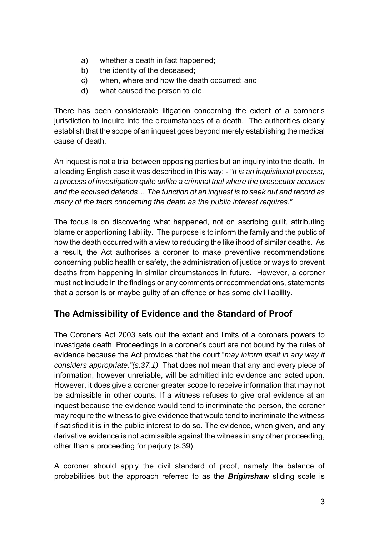- a) whether a death in fact happened;
- b) the identity of the deceased;
- c) when, where and how the death occurred; and
- d) what caused the person to die.

There has been considerable litigation concerning the extent of a coroner's jurisdiction to inquire into the circumstances of a death. The authorities clearly establish that the scope of an inquest goes beyond merely establishing the medical cause of death.

An inquest is not a trial between opposing parties but an inquiry into the death. In a leading English case it was described in this way: - *"It is an inquisitorial process, a process of investigation quite unlike a criminal trial where the prosecutor accuses and the accused defends… The function of an inquest is to seek out and record as many of the facts concerning the death as the public interest requires."*

The focus is on discovering what happened, not on ascribing guilt, attributing blame or apportioning liability. The purpose is to inform the family and the public of how the death occurred with a view to reducing the likelihood of similar deaths. As a result, the Act authorises a coroner to make preventive recommendations concerning public health or safety, the administration of justice or ways to prevent deaths from happening in similar circumstances in future. However, a coroner must not include in the findings or any comments or recommendations, statements that a person is or maybe guilty of an offence or has some civil liability.

# **The Admissibility of Evidence and the Standard of Proof**

The Coroners Act 2003 sets out the extent and limits of a coroners powers to investigate death. Proceedings in a coroner's court are not bound by the rules of evidence because the Act provides that the court "*may inform itself in any way it considers appropriate."(s.37.1)* That does not mean that any and every piece of information, however unreliable, will be admitted into evidence and acted upon. However, it does give a coroner greater scope to receive information that may not be admissible in other courts. If a witness refuses to give oral evidence at an inquest because the evidence would tend to incriminate the person, the coroner may require the witness to give evidence that would tend to incriminate the witness if satisfied it is in the public interest to do so. The evidence, when given, and any derivative evidence is not admissible against the witness in any other proceeding, other than a proceeding for perjury (s.39).

A coroner should apply the civil standard of proof, namely the balance of probabilities but the approach referred to as the *Briginshaw* sliding scale is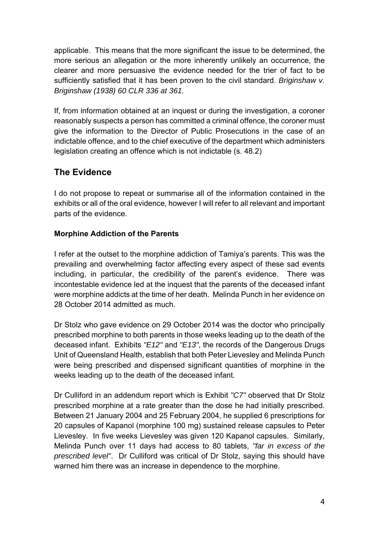applicable. This means that the more significant the issue to be determined, the more serious an allegation or the more inherently unlikely an occurrence, the clearer and more persuasive the evidence needed for the trier of fact to be sufficiently satisfied that it has been proven to the civil standard. *Briginshaw v. Briginshaw (1938) 60 CLR 336 at 361.*

If, from information obtained at an inquest or during the investigation, a coroner reasonably suspects a person has committed a criminal offence, the coroner must give the information to the Director of Public Prosecutions in the case of an indictable offence, and to the chief executive of the department which administers legislation creating an offence which is not indictable (s. 48.2)

# **The Evidence**

I do not propose to repeat or summarise all of the information contained in the exhibits or all of the oral evidence, however I will refer to all relevant and important parts of the evidence.

# **Morphine Addiction of the Parents**

I refer at the outset to the morphine addiction of Tamiya's parents. This was the prevailing and overwhelming factor affecting every aspect of these sad events including, in particular, the credibility of the parent's evidence. There was incontestable evidence led at the inquest that the parents of the deceased infant were morphine addicts at the time of her death. Melinda Punch in her evidence on 28 October 2014 admitted as much.

Dr Stolz who gave evidence on 29 October 2014 was the doctor who principally prescribed morphine to both parents in those weeks leading up to the death of the deceased infant. Exhibits *"E12"* and *"E13"*, the records of the Dangerous Drugs Unit of Queensland Health, establish that both Peter Lievesley and Melinda Punch were being prescribed and dispensed significant quantities of morphine in the weeks leading up to the death of the deceased infant.

Dr Culliford in an addendum report which is Exhibit *"C7"* observed that Dr Stolz prescribed morphine at a rate greater than the dose he had initially prescribed. Between 21 January 2004 and 25 February 2004, he supplied 6 prescriptions for 20 capsules of Kapanol (morphine 100 mg) sustained release capsules to Peter Lievesley. In five weeks Lievesley was given 120 Kapanol capsules. Similarly, Melinda Punch over 11 days had access to 80 tablets, *"far in excess of the prescribed level"*. Dr Culliford was critical of Dr Stolz, saying this should have warned him there was an increase in dependence to the morphine.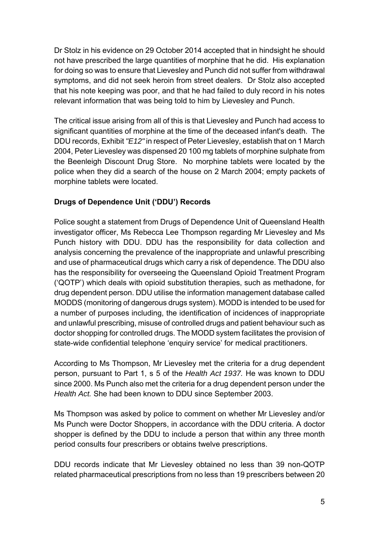Dr Stolz in his evidence on 29 October 2014 accepted that in hindsight he should not have prescribed the large quantities of morphine that he did. His explanation for doing so was to ensure that Lievesley and Punch did not suffer from withdrawal symptoms, and did not seek heroin from street dealers. Dr Stolz also accepted that his note keeping was poor, and that he had failed to duly record in his notes relevant information that was being told to him by Lievesley and Punch.

The critical issue arising from all of this is that Lievesley and Punch had access to significant quantities of morphine at the time of the deceased infant's death. The DDU records, Exhibit *"E12"* in respect of Peter Lievesley, establish that on 1 March 2004, Peter Lievesley was dispensed 20 100 mg tablets of morphine sulphate from the Beenleigh Discount Drug Store. No morphine tablets were located by the police when they did a search of the house on 2 March 2004; empty packets of morphine tablets were located.

## **Drugs of Dependence Unit ('DDU') Records**

Police sought a statement from Drugs of Dependence Unit of Queensland Health investigator officer, Ms Rebecca Lee Thompson regarding Mr Lievesley and Ms Punch history with DDU. DDU has the responsibility for data collection and analysis concerning the prevalence of the inappropriate and unlawful prescribing and use of pharmaceutical drugs which carry a risk of dependence. The DDU also has the responsibility for overseeing the Queensland Opioid Treatment Program ('QOTP') which deals with opioid substitution therapies, such as methadone, for drug dependent person. DDU utilise the information management database called MODDS (monitoring of dangerous drugs system). MODD is intended to be used for a number of purposes including, the identification of incidences of inappropriate and unlawful prescribing, misuse of controlled drugs and patient behaviour such as doctor shopping for controlled drugs. The MODD system facilitates the provision of state-wide confidential telephone 'enquiry service' for medical practitioners.

According to Ms Thompson, Mr Lievesley met the criteria for a drug dependent person, pursuant to Part 1, s 5 of the *Health Act 1937.* He was known to DDU since 2000. Ms Punch also met the criteria for a drug dependent person under the *Health Act.* She had been known to DDU since September 2003.

Ms Thompson was asked by police to comment on whether Mr Lievesley and/or Ms Punch were Doctor Shoppers, in accordance with the DDU criteria. A doctor shopper is defined by the DDU to include a person that within any three month period consults four prescribers or obtains twelve prescriptions.

DDU records indicate that Mr Lievesley obtained no less than 39 non-QOTP related pharmaceutical prescriptions from no less than 19 prescribers between 20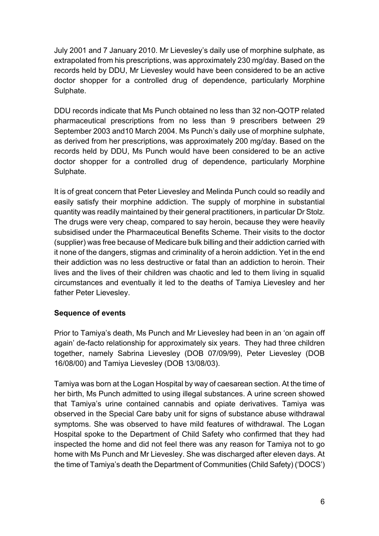July 2001 and 7 January 2010. Mr Lievesley's daily use of morphine sulphate, as extrapolated from his prescriptions, was approximately 230 mg/day. Based on the records held by DDU, Mr Lievesley would have been considered to be an active doctor shopper for a controlled drug of dependence, particularly Morphine Sulphate.

DDU records indicate that Ms Punch obtained no less than 32 non-QOTP related pharmaceutical prescriptions from no less than 9 prescribers between 29 September 2003 and10 March 2004. Ms Punch's daily use of morphine sulphate, as derived from her prescriptions, was approximately 200 mg/day. Based on the records held by DDU, Ms Punch would have been considered to be an active doctor shopper for a controlled drug of dependence, particularly Morphine Sulphate.

It is of great concern that Peter Lievesley and Melinda Punch could so readily and easily satisfy their morphine addiction. The supply of morphine in substantial quantity was readily maintained by their general practitioners, in particular Dr Stolz. The drugs were very cheap, compared to say heroin, because they were heavily subsidised under the Pharmaceutical Benefits Scheme. Their visits to the doctor (supplier) was free because of Medicare bulk billing and their addiction carried with it none of the dangers, stigmas and criminality of a heroin addiction. Yet in the end their addiction was no less destructive or fatal than an addiction to heroin. Their lives and the lives of their children was chaotic and led to them living in squalid circumstances and eventually it led to the deaths of Tamiya Lievesley and her father Peter Lievesley.

#### **Sequence of events**

Prior to Tamiya's death, Ms Punch and Mr Lievesley had been in an 'on again off again' de-facto relationship for approximately six years. They had three children together, namely Sabrina Lievesley (DOB 07/09/99), Peter Lievesley (DOB 16/08/00) and Tamiya Lievesley (DOB 13/08/03).

Tamiya was born at the Logan Hospital by way of caesarean section. At the time of her birth, Ms Punch admitted to using illegal substances. A urine screen showed that Tamiya's urine contained cannabis and opiate derivatives. Tamiya was observed in the Special Care baby unit for signs of substance abuse withdrawal symptoms. She was observed to have mild features of withdrawal. The Logan Hospital spoke to the Department of Child Safety who confirmed that they had inspected the home and did not feel there was any reason for Tamiya not to go home with Ms Punch and Mr Lievesley. She was discharged after eleven days. At the time of Tamiya's death the Department of Communities (Child Safety) ('DOCS')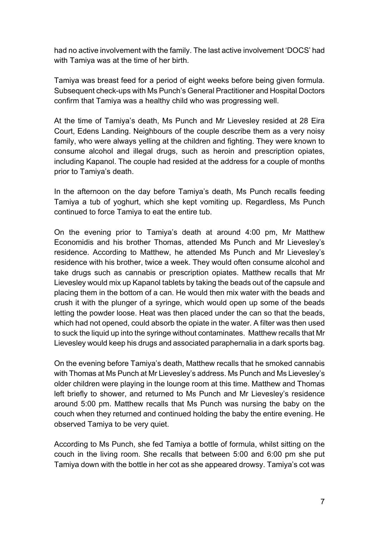had no active involvement with the family. The last active involvement 'DOCS' had with Tamiya was at the time of her birth.

Tamiya was breast feed for a period of eight weeks before being given formula. Subsequent check-ups with Ms Punch's General Practitioner and Hospital Doctors confirm that Tamiya was a healthy child who was progressing well.

At the time of Tamiya's death, Ms Punch and Mr Lievesley resided at 28 Eira Court, Edens Landing. Neighbours of the couple describe them as a very noisy family, who were always yelling at the children and fighting. They were known to consume alcohol and illegal drugs, such as heroin and prescription opiates, including Kapanol. The couple had resided at the address for a couple of months prior to Tamiya's death.

In the afternoon on the day before Tamiya's death, Ms Punch recalls feeding Tamiya a tub of yoghurt, which she kept vomiting up. Regardless, Ms Punch continued to force Tamiya to eat the entire tub.

On the evening prior to Tamiya's death at around 4:00 pm, Mr Matthew Economidis and his brother Thomas, attended Ms Punch and Mr Lievesley's residence. According to Matthew, he attended Ms Punch and Mr Lievesley's residence with his brother, twice a week. They would often consume alcohol and take drugs such as cannabis or prescription opiates. Matthew recalls that Mr Lievesley would mix up Kapanol tablets by taking the beads out of the capsule and placing them in the bottom of a can. He would then mix water with the beads and crush it with the plunger of a syringe, which would open up some of the beads letting the powder loose. Heat was then placed under the can so that the beads, which had not opened, could absorb the opiate in the water. A filter was then used to suck the liquid up into the syringe without contaminates. Matthew recalls that Mr Lievesley would keep his drugs and associated paraphernalia in a dark sports bag.

On the evening before Tamiya's death, Matthew recalls that he smoked cannabis with Thomas at Ms Punch at Mr Lievesley's address. Ms Punch and Ms Lievesley's older children were playing in the lounge room at this time. Matthew and Thomas left briefly to shower, and returned to Ms Punch and Mr Lievesley's residence around 5:00 pm. Matthew recalls that Ms Punch was nursing the baby on the couch when they returned and continued holding the baby the entire evening. He observed Tamiya to be very quiet.

According to Ms Punch, she fed Tamiya a bottle of formula, whilst sitting on the couch in the living room. She recalls that between 5:00 and 6:00 pm she put Tamiya down with the bottle in her cot as she appeared drowsy. Tamiya's cot was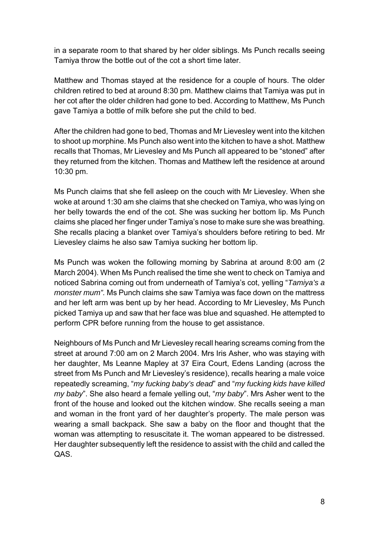in a separate room to that shared by her older siblings. Ms Punch recalls seeing Tamiya throw the bottle out of the cot a short time later.

Matthew and Thomas stayed at the residence for a couple of hours. The older children retired to bed at around 8:30 pm. Matthew claims that Tamiya was put in her cot after the older children had gone to bed. According to Matthew, Ms Punch gave Tamiya a bottle of milk before she put the child to bed.

After the children had gone to bed, Thomas and Mr Lievesley went into the kitchen to shoot up morphine. Ms Punch also went into the kitchen to have a shot. Matthew recalls that Thomas, Mr Lievesley and Ms Punch all appeared to be "stoned" after they returned from the kitchen. Thomas and Matthew left the residence at around 10:30 pm.

Ms Punch claims that she fell asleep on the couch with Mr Lievesley. When she woke at around 1:30 am she claims that she checked on Tamiya, who was lying on her belly towards the end of the cot. She was sucking her bottom lip. Ms Punch claims she placed her finger under Tamiya's nose to make sure she was breathing. She recalls placing a blanket over Tamiya's shoulders before retiring to bed. Mr Lievesley claims he also saw Tamiya sucking her bottom lip.

Ms Punch was woken the following morning by Sabrina at around 8:00 am (2 March 2004). When Ms Punch realised the time she went to check on Tamiya and noticed Sabrina coming out from underneath of Tamiya's cot, yelling "*Tamiya's a monster mum".* Ms Punch claims she saw Tamiya was face down on the mattress and her left arm was bent up by her head. According to Mr Lievesley, Ms Punch picked Tamiya up and saw that her face was blue and squashed. He attempted to perform CPR before running from the house to get assistance.

Neighbours of Ms Punch and Mr Lievesley recall hearing screams coming from the street at around 7:00 am on 2 March 2004. Mrs Iris Asher, who was staying with her daughter, Ms Leanne Mapley at 37 Eira Court, Edens Landing (across the street from Ms Punch and Mr Lievesley's residence), recalls hearing a male voice repeatedly screaming, "*my fucking baby's dead*" and "*my fucking kids have killed my baby*". She also heard a female yelling out, "*my baby*". Mrs Asher went to the front of the house and looked out the kitchen window. She recalls seeing a man and woman in the front yard of her daughter's property. The male person was wearing a small backpack. She saw a baby on the floor and thought that the woman was attempting to resuscitate it. The woman appeared to be distressed. Her daughter subsequently left the residence to assist with the child and called the QAS.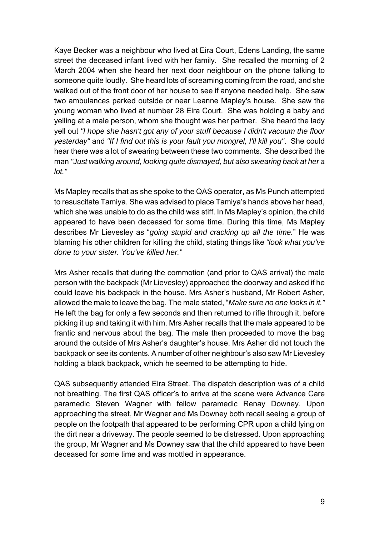Kaye Becker was a neighbour who lived at Eira Court, Edens Landing, the same street the deceased infant lived with her family. She recalled the morning of 2 March 2004 when she heard her next door neighbour on the phone talking to someone quite loudly. She heard lots of screaming coming from the road, and she walked out of the front door of her house to see if anyone needed help. She saw two ambulances parked outside or near Leanne Mapley's house. She saw the young woman who lived at number 28 Eira Court. She was holding a baby and yelling at a male person, whom she thought was her partner. She heard the lady yell out *"I hope she hasn't got any of your stuff because I didn't vacuum the floor yesterday"* and *"If I find out this is your fault you mongrel, I'll kill you"*. She could hear there was a lot of swearing between these two comments. She described the man *"Just walking around, looking quite dismayed, but also swearing back at her a lot."*

Ms Mapley recalls that as she spoke to the QAS operator, as Ms Punch attempted to resuscitate Tamiya. She was advised to place Tamiya's hands above her head, which she was unable to do as the child was stiff. In Ms Mapley's opinion, the child appeared to have been deceased for some time. During this time, Ms Mapley describes Mr Lievesley as "*going stupid and cracking up all the time.*" He was blaming his other children for killing the child, stating things like *"look what you've done to your sister. You've killed her."*

Mrs Asher recalls that during the commotion (and prior to QAS arrival) the male person with the backpack (Mr Lievesley) approached the doorway and asked if he could leave his backpack in the house. Mrs Asher's husband, Mr Robert Asher, allowed the male to leave the bag. The male stated, "*Make sure no one looks in it."* He left the bag for only a few seconds and then returned to rifle through it, before picking it up and taking it with him. Mrs Asher recalls that the male appeared to be frantic and nervous about the bag. The male then proceeded to move the bag around the outside of Mrs Asher's daughter's house. Mrs Asher did not touch the backpack or see its contents. A number of other neighbour's also saw Mr Lievesley holding a black backpack, which he seemed to be attempting to hide.

QAS subsequently attended Eira Street. The dispatch description was of a child not breathing. The first QAS officer's to arrive at the scene were Advance Care paramedic Steven Wagner with fellow paramedic Renay Downey. Upon approaching the street, Mr Wagner and Ms Downey both recall seeing a group of people on the footpath that appeared to be performing CPR upon a child lying on the dirt near a driveway. The people seemed to be distressed. Upon approaching the group, Mr Wagner and Ms Downey saw that the child appeared to have been deceased for some time and was mottled in appearance.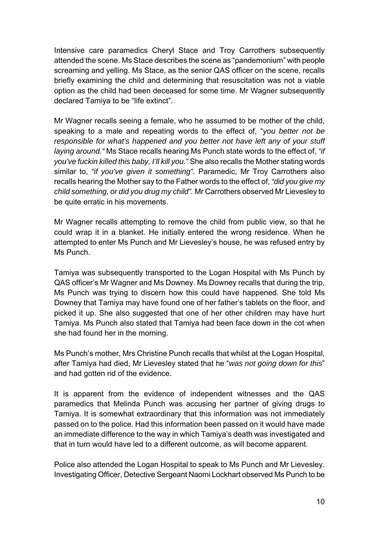Intensive care paramedics Cheryl Stace and Troy Carrothers subsequently attended the scene. Ms Stace describes the scene as "pandemonium" with people screaming and yelling. Ms Stace, as the senior QAS officer on the scene, recalls briefly examining the child and determining that resuscitation was not a viable option as the child had been deceased for some time. Mr Wagner subsequently declared Tamiya to be "life extinct".

Mr Wagner recalls seeing a female, who he assumed to be mother of the child, speaking to a male and repeating words to the effect of, "*you better not be responsible for what's happened and you better not have left any of your stuff laying around."* Ms Stace recalls hearing Ms Punch state words to the effect of, *"if you've fuckin killed this baby, I'll kill you."* She also recalls the Mother stating words similar to, *"if you've given it something".* Paramedic, Mr Troy Carrothers also recalls hearing the Mother say to the Father words to the effect of, *"did you give my child something, or did you drug my child".* Mr Carrothers observed Mr Lievesley to be quite erratic in his movements.

Mr Wagner recalls attempting to remove the child from public view, so that he could wrap it in a blanket. He initially entered the wrong residence. When he attempted to enter Ms Punch and Mr Lievesley's house, he was refused entry by Ms Punch.

Tamiya was subsequently transported to the Logan Hospital with Ms Punch by QAS officer's Mr Wagner and Ms Downey. Ms Downey recalls that during the trip, Ms Punch was trying to discern how this could have happened. She told Ms Downey that Tamiya may have found one of her father's tablets on the floor, and picked it up. She also suggested that one of her other children may have hurt Tamiya. Ms Punch also stated that Tamiya had been face down in the cot when she had found her in the morning.

Ms Punch's mother, Mrs Christine Punch recalls that whilst at the Logan Hospital, after Tamiya had died, Mr Lievesley stated that he "*was not going down for this*" and had gotten rid of the evidence.

It is apparent from the evidence of independent witnesses and the QAS paramedics that Melinda Punch was accusing her partner of giving drugs to Tamiya. It is somewhat extraordinary that this information was not immediately passed on to the police. Had this information been passed on it would have made an immediate difference to the way in which Tamiya's death was investigated and that in turn would have led to a different outcome, as will become apparent.

Police also attended the Logan Hospital to speak to Ms Punch and Mr Lievesley. Investigating Officer, Detective Sergeant Naomi Lockhart observed Ms Punch to be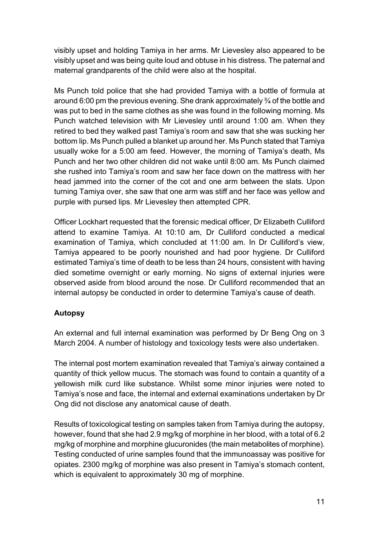visibly upset and holding Tamiya in her arms. Mr Lievesley also appeared to be visibly upset and was being quite loud and obtuse in his distress. The paternal and maternal grandparents of the child were also at the hospital.

Ms Punch told police that she had provided Tamiya with a bottle of formula at around 6:00 pm the previous evening. She drank approximately ¾ of the bottle and was put to bed in the same clothes as she was found in the following morning. Ms Punch watched television with Mr Lievesley until around 1:00 am. When they retired to bed they walked past Tamiya's room and saw that she was sucking her bottom lip. Ms Punch pulled a blanket up around her. Ms Punch stated that Tamiya usually woke for a 5:00 am feed. However, the morning of Tamiya's death, Ms Punch and her two other children did not wake until 8:00 am. Ms Punch claimed she rushed into Tamiya's room and saw her face down on the mattress with her head jammed into the corner of the cot and one arm between the slats. Upon turning Tamiya over, she saw that one arm was stiff and her face was yellow and purple with pursed lips. Mr Lievesley then attempted CPR.

Officer Lockhart requested that the forensic medical officer, Dr Elizabeth Culliford attend to examine Tamiya. At 10:10 am, Dr Culliford conducted a medical examination of Tamiya, which concluded at 11:00 am. In Dr Culliford's view, Tamiya appeared to be poorly nourished and had poor hygiene. Dr Culliford estimated Tamiya's time of death to be less than 24 hours, consistent with having died sometime overnight or early morning. No signs of external injuries were observed aside from blood around the nose. Dr Culliford recommended that an internal autopsy be conducted in order to determine Tamiya's cause of death.

## **Autopsy**

An external and full internal examination was performed by Dr Beng Ong on 3 March 2004. A number of histology and toxicology tests were also undertaken.

The internal post mortem examination revealed that Tamiya's airway contained a quantity of thick yellow mucus. The stomach was found to contain a quantity of a yellowish milk curd like substance. Whilst some minor injuries were noted to Tamiya's nose and face, the internal and external examinations undertaken by Dr Ong did not disclose any anatomical cause of death.

Results of toxicological testing on samples taken from Tamiya during the autopsy, however, found that she had 2.9 mg/kg of morphine in her blood, with a total of 6.2 mg/kg of morphine and morphine glucuronides (the main metabolites of morphine). Testing conducted of urine samples found that the immunoassay was positive for opiates. 2300 mg/kg of morphine was also present in Tamiya's stomach content, which is equivalent to approximately 30 mg of morphine.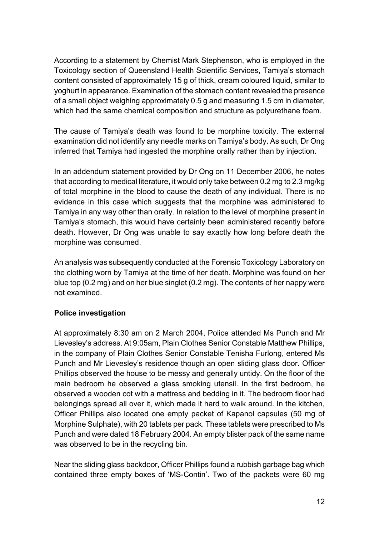According to a statement by Chemist Mark Stephenson, who is employed in the Toxicology section of Queensland Health Scientific Services, Tamiya's stomach content consisted of approximately 15 g of thick, cream coloured liquid, similar to yoghurt in appearance. Examination of the stomach content revealed the presence of a small object weighing approximately 0.5 g and measuring 1.5 cm in diameter, which had the same chemical composition and structure as polyurethane foam.

The cause of Tamiya's death was found to be morphine toxicity. The external examination did not identify any needle marks on Tamiya's body. As such, Dr Ong inferred that Tamiya had ingested the morphine orally rather than by injection.

In an addendum statement provided by Dr Ong on 11 December 2006, he notes that according to medical literature, it would only take between 0.2 mg to 2.3 mg/kg of total morphine in the blood to cause the death of any individual. There is no evidence in this case which suggests that the morphine was administered to Tamiya in any way other than orally. In relation to the level of morphine present in Tamiya's stomach, this would have certainly been administered recently before death. However, Dr Ong was unable to say exactly how long before death the morphine was consumed.

An analysis was subsequently conducted at the Forensic Toxicology Laboratory on the clothing worn by Tamiya at the time of her death. Morphine was found on her blue top (0.2 mg) and on her blue singlet (0.2 mg). The contents of her nappy were not examined.

## **Police investigation**

At approximately 8:30 am on 2 March 2004, Police attended Ms Punch and Mr Lievesley's address. At 9:05am, Plain Clothes Senior Constable Matthew Phillips, in the company of Plain Clothes Senior Constable Tenisha Furlong, entered Ms Punch and Mr Lievesley's residence though an open sliding glass door. Officer Phillips observed the house to be messy and generally untidy. On the floor of the main bedroom he observed a glass smoking utensil. In the first bedroom, he observed a wooden cot with a mattress and bedding in it. The bedroom floor had belongings spread all over it, which made it hard to walk around. In the kitchen, Officer Phillips also located one empty packet of Kapanol capsules (50 mg of Morphine Sulphate), with 20 tablets per pack. These tablets were prescribed to Ms Punch and were dated 18 February 2004. An empty blister pack of the same name was observed to be in the recycling bin.

Near the sliding glass backdoor, Officer Phillips found a rubbish garbage bag which contained three empty boxes of 'MS-Contin'. Two of the packets were 60 mg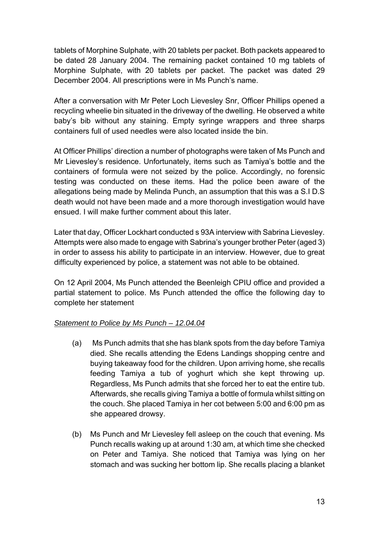tablets of Morphine Sulphate, with 20 tablets per packet. Both packets appeared to be dated 28 January 2004. The remaining packet contained 10 mg tablets of Morphine Sulphate, with 20 tablets per packet. The packet was dated 29 December 2004. All prescriptions were in Ms Punch's name.

After a conversation with Mr Peter Loch Lievesley Snr, Officer Phillips opened a recycling wheelie bin situated in the driveway of the dwelling. He observed a white baby's bib without any staining. Empty syringe wrappers and three sharps containers full of used needles were also located inside the bin.

At Officer Phillips' direction a number of photographs were taken of Ms Punch and Mr Lievesley's residence. Unfortunately, items such as Tamiya's bottle and the containers of formula were not seized by the police. Accordingly, no forensic testing was conducted on these items. Had the police been aware of the allegations being made by Melinda Punch, an assumption that this was a S.I D.S death would not have been made and a more thorough investigation would have ensued. I will make further comment about this later.

Later that day, Officer Lockhart conducted s 93A interview with Sabrina Lievesley. Attempts were also made to engage with Sabrina's younger brother Peter (aged 3) in order to assess his ability to participate in an interview. However, due to great difficulty experienced by police, a statement was not able to be obtained.

On 12 April 2004, Ms Punch attended the Beenleigh CPIU office and provided a partial statement to police. Ms Punch attended the office the following day to complete her statement

## *Statement to Police by Ms Punch – 12.04.04*

- (a) Ms Punch admits that she has blank spots from the day before Tamiya died. She recalls attending the Edens Landings shopping centre and buying takeaway food for the children. Upon arriving home, she recalls feeding Tamiya a tub of yoghurt which she kept throwing up. Regardless, Ms Punch admits that she forced her to eat the entire tub. Afterwards, she recalls giving Tamiya a bottle of formula whilst sitting on the couch. She placed Tamiya in her cot between 5:00 and 6:00 pm as she appeared drowsy.
- (b) Ms Punch and Mr Lievesley fell asleep on the couch that evening. Ms Punch recalls waking up at around 1:30 am, at which time she checked on Peter and Tamiya. She noticed that Tamiya was lying on her stomach and was sucking her bottom lip. She recalls placing a blanket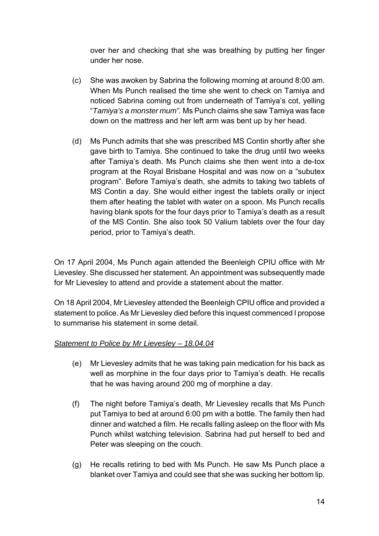over her and checking that she was breathing by putting her finger under her nose.

- (c) She was awoken by Sabrina the following morning at around 8:00 am. When Ms Punch realised the time she went to check on Tamiya and noticed Sabrina coming out from underneath of Tamiya's cot, yelling "*Tamiya's a monster mum".* Ms Punch claims she saw Tamiya was face down on the mattress and her left arm was bent up by her head.
- (d) Ms Punch admits that she was prescribed MS Contin shortly after she gave birth to Tamiya. She continued to take the drug until two weeks after Tamiya's death. Ms Punch claims she then went into a de-tox program at the Royal Brisbane Hospital and was now on a "subutex program". Before Tamiya's death, she admits to taking two tablets of MS Contin a day. She would either ingest the tablets orally or inject them after heating the tablet with water on a spoon. Ms Punch recalls having blank spots for the four days prior to Tamiya's death as a result of the MS Contin. She also took 50 Valium tablets over the four day period, prior to Tamiya's death.

On 17 April 2004, Ms Punch again attended the Beenleigh CPIU office with Mr Lievesley. She discussed her statement. An appointment was subsequently made for Mr Lievesley to attend and provide a statement about the matter.

On 18 April 2004, Mr Lievesley attended the Beenleigh CPIU office and provided a statement to police. As Mr Lievesley died before this inquest commenced I propose to summarise his statement in some detail.

## *Statement to Police by Mr Lievesley – 18.04.04*

- (e) Mr Lievesley admits that he was taking pain medication for his back as well as morphine in the four days prior to Tamiya's death. He recalls that he was having around 200 mg of morphine a day.
- (f) The night before Tamiya's death, Mr Lievesley recalls that Ms Punch put Tamiya to bed at around 6:00 pm with a bottle. The family then had dinner and watched a film. He recalls falling asleep on the floor with Ms Punch whilst watching television. Sabrina had put herself to bed and Peter was sleeping on the couch.
- (g) He recalls retiring to bed with Ms Punch. He saw Ms Punch place a blanket over Tamiya and could see that she was sucking her bottom lip.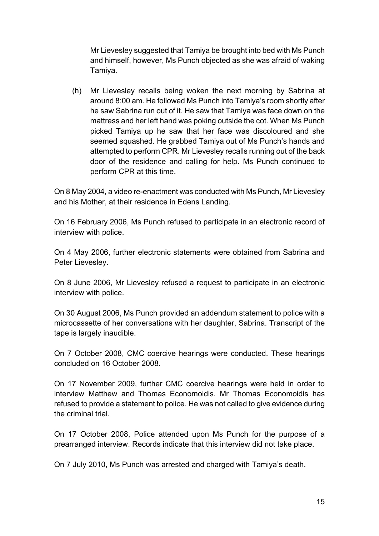Mr Lievesley suggested that Tamiya be brought into bed with Ms Punch and himself, however, Ms Punch objected as she was afraid of waking Tamiya.

(h) Mr Lievesley recalls being woken the next morning by Sabrina at around 8:00 am. He followed Ms Punch into Tamiya's room shortly after he saw Sabrina run out of it. He saw that Tamiya was face down on the mattress and her left hand was poking outside the cot. When Ms Punch picked Tamiya up he saw that her face was discoloured and she seemed squashed. He grabbed Tamiya out of Ms Punch's hands and attempted to perform CPR. Mr Lievesley recalls running out of the back door of the residence and calling for help. Ms Punch continued to perform CPR at this time.

On 8 May 2004, a video re-enactment was conducted with Ms Punch, Mr Lievesley and his Mother, at their residence in Edens Landing.

On 16 February 2006, Ms Punch refused to participate in an electronic record of interview with police.

On 4 May 2006, further electronic statements were obtained from Sabrina and Peter Lievesley.

On 8 June 2006, Mr Lievesley refused a request to participate in an electronic interview with police.

On 30 August 2006, Ms Punch provided an addendum statement to police with a microcassette of her conversations with her daughter, Sabrina. Transcript of the tape is largely inaudible.

On 7 October 2008, CMC coercive hearings were conducted. These hearings concluded on 16 October 2008.

On 17 November 2009, further CMC coercive hearings were held in order to interview Matthew and Thomas Economoidis. Mr Thomas Economoidis has refused to provide a statement to police. He was not called to give evidence during the criminal trial.

On 17 October 2008, Police attended upon Ms Punch for the purpose of a prearranged interview. Records indicate that this interview did not take place.

On 7 July 2010, Ms Punch was arrested and charged with Tamiya's death.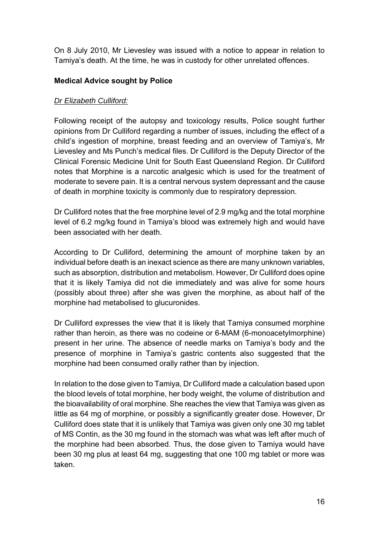On 8 July 2010, Mr Lievesley was issued with a notice to appear in relation to Tamiya's death. At the time, he was in custody for other unrelated offences.

#### **Medical Advice sought by Police**

#### *Dr Elizabeth Culliford:*

Following receipt of the autopsy and toxicology results, Police sought further opinions from Dr Culliford regarding a number of issues, including the effect of a child's ingestion of morphine, breast feeding and an overview of Tamiya's, Mr Lievesley and Ms Punch's medical files. Dr Culliford is the Deputy Director of the Clinical Forensic Medicine Unit for South East Queensland Region. Dr Culliford notes that Morphine is a narcotic analgesic which is used for the treatment of moderate to severe pain. It is a central nervous system depressant and the cause of death in morphine toxicity is commonly due to respiratory depression.

Dr Culliford notes that the free morphine level of 2.9 mg/kg and the total morphine level of 6.2 mg/kg found in Tamiya's blood was extremely high and would have been associated with her death.

According to Dr Culliford, determining the amount of morphine taken by an individual before death is an inexact science as there are many unknown variables, such as absorption, distribution and metabolism. However, Dr Culliford does opine that it is likely Tamiya did not die immediately and was alive for some hours (possibly about three) after she was given the morphine, as about half of the morphine had metabolised to glucuronides.

Dr Culliford expresses the view that it is likely that Tamiya consumed morphine rather than heroin, as there was no codeine or 6-MAM (6-monoacetylmorphine) present in her urine. The absence of needle marks on Tamiya's body and the presence of morphine in Tamiya's gastric contents also suggested that the morphine had been consumed orally rather than by injection.

In relation to the dose given to Tamiya, Dr Culliford made a calculation based upon the blood levels of total morphine, her body weight, the volume of distribution and the bioavailability of oral morphine. She reaches the view that Tamiya was given as little as 64 mg of morphine, or possibly a significantly greater dose. However, Dr Culliford does state that it is unlikely that Tamiya was given only one 30 mg tablet of MS Contin, as the 30 mg found in the stomach was what was left after much of the morphine had been absorbed. Thus, the dose given to Tamiya would have been 30 mg plus at least 64 mg, suggesting that one 100 mg tablet or more was taken.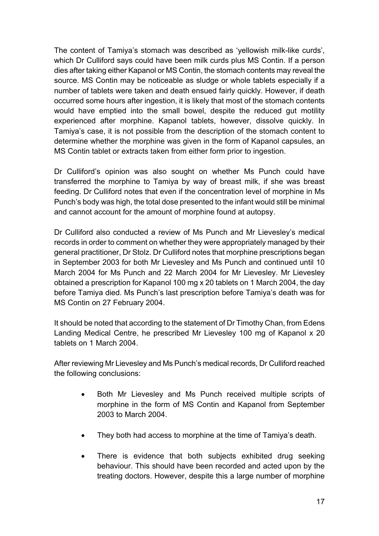The content of Tamiya's stomach was described as 'yellowish milk-like curds', which Dr Culliford says could have been milk curds plus MS Contin. If a person dies after taking either Kapanol or MS Contin, the stomach contents may reveal the source. MS Contin may be noticeable as sludge or whole tablets especially if a number of tablets were taken and death ensued fairly quickly. However, if death occurred some hours after ingestion, it is likely that most of the stomach contents would have emptied into the small bowel, despite the reduced gut motility experienced after morphine. Kapanol tablets, however, dissolve quickly. In Tamiya's case, it is not possible from the description of the stomach content to determine whether the morphine was given in the form of Kapanol capsules, an MS Contin tablet or extracts taken from either form prior to ingestion.

Dr Culliford's opinion was also sought on whether Ms Punch could have transferred the morphine to Tamiya by way of breast milk, if she was breast feeding. Dr Culliford notes that even if the concentration level of morphine in Ms Punch's body was high, the total dose presented to the infant would still be minimal and cannot account for the amount of morphine found at autopsy.

Dr Culliford also conducted a review of Ms Punch and Mr Lievesley's medical records in order to comment on whether they were appropriately managed by their general practitioner, Dr Stolz. Dr Culliford notes that morphine prescriptions began in September 2003 for both Mr Lievesley and Ms Punch and continued until 10 March 2004 for Ms Punch and 22 March 2004 for Mr Lievesley. Mr Lievesley obtained a prescription for Kapanol 100 mg x 20 tablets on 1 March 2004, the day before Tamiya died. Ms Punch's last prescription before Tamiya's death was for MS Contin on 27 February 2004.

It should be noted that according to the statement of Dr Timothy Chan, from Edens Landing Medical Centre, he prescribed Mr Lievesley 100 mg of Kapanol x 20 tablets on 1 March 2004.

After reviewing Mr Lievesley and Ms Punch's medical records, Dr Culliford reached the following conclusions:

- Both Mr Lievesley and Ms Punch received multiple scripts of morphine in the form of MS Contin and Kapanol from September 2003 to March 2004.
- They both had access to morphine at the time of Tamiya's death.
- There is evidence that both subjects exhibited drug seeking behaviour. This should have been recorded and acted upon by the treating doctors. However, despite this a large number of morphine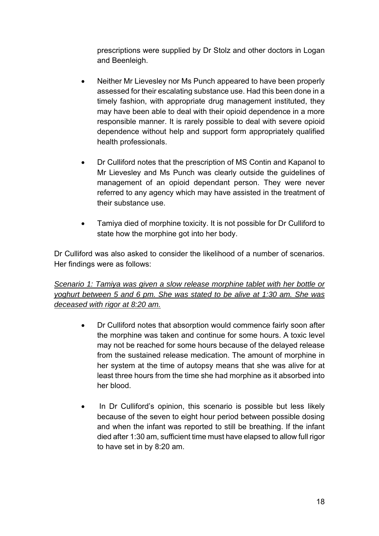prescriptions were supplied by Dr Stolz and other doctors in Logan and Beenleigh.

- Neither Mr Lievesley nor Ms Punch appeared to have been properly assessed for their escalating substance use. Had this been done in a timely fashion, with appropriate drug management instituted, they may have been able to deal with their opioid dependence in a more responsible manner. It is rarely possible to deal with severe opioid dependence without help and support form appropriately qualified health professionals.
- Dr Culliford notes that the prescription of MS Contin and Kapanol to Mr Lievesley and Ms Punch was clearly outside the guidelines of management of an opioid dependant person. They were never referred to any agency which may have assisted in the treatment of their substance use.
- Tamiya died of morphine toxicity. It is not possible for Dr Culliford to state how the morphine got into her body.

Dr Culliford was also asked to consider the likelihood of a number of scenarios. Her findings were as follows:

*Scenario 1: Tamiya was given a slow release morphine tablet with her bottle or yoghurt between 5 and 6 pm. She was stated to be alive at 1:30 am. She was deceased with rigor at 8:20 am.* 

- Dr Culliford notes that absorption would commence fairly soon after the morphine was taken and continue for some hours. A toxic level may not be reached for some hours because of the delayed release from the sustained release medication. The amount of morphine in her system at the time of autopsy means that she was alive for at least three hours from the time she had morphine as it absorbed into her blood.
- In Dr Culliford's opinion, this scenario is possible but less likely because of the seven to eight hour period between possible dosing and when the infant was reported to still be breathing. If the infant died after 1:30 am, sufficient time must have elapsed to allow full rigor to have set in by 8:20 am.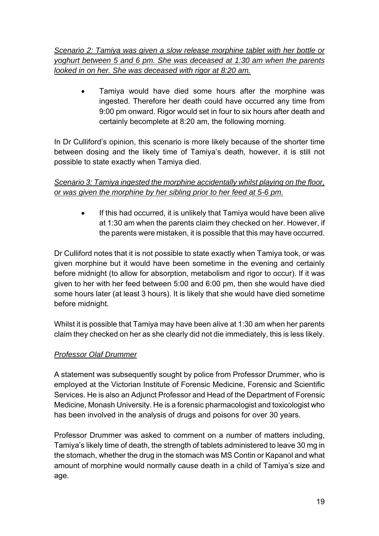*Scenario 2: Tamiya was given a slow release morphine tablet with her bottle or yoghurt between 5 and 6 pm. She was deceased at 1:30 am when the parents looked in on her. She was deceased with rigor at 8:20 am.* 

 Tamiya would have died some hours after the morphine was ingested. Therefore her death could have occurred any time from 9:00 pm onward. Rigor would set in four to six hours after death and certainly becomplete at 8:20 am, the following morning.

In Dr Culliford's opinion, this scenario is more likely because of the shorter time between dosing and the likely time of Tamiya's death, however, it is still not possible to state exactly when Tamiya died.

## *Scenario 3: Tamiya ingested the morphine accidentally whilst playing on the floor, or was given the morphine by her sibling prior to her feed at 5-6 pm.*

 If this had occurred, it is unlikely that Tamiya would have been alive at 1:30 am when the parents claim they checked on her. However, if the parents were mistaken, it is possible that this may have occurred.

Dr Culliford notes that it is not possible to state exactly when Tamiya took, or was given morphine but it would have been sometime in the evening and certainly before midnight (to allow for absorption, metabolism and rigor to occur). If it was given to her with her feed between 5:00 and 6:00 pm, then she would have died some hours later (at least 3 hours). It is likely that she would have died sometime before midnight.

Whilst it is possible that Tamiya may have been alive at 1:30 am when her parents claim they checked on her as she clearly did not die immediately, this is less likely.

# *Professor Olaf Drummer*

A statement was subsequently sought by police from Professor Drummer, who is employed at the Victorian Institute of Forensic Medicine, Forensic and Scientific Services. He is also an Adjunct Professor and Head of the Department of Forensic Medicine, Monash University. He is a forensic pharmacologist and toxicologist who has been involved in the analysis of drugs and poisons for over 30 years.

Professor Drummer was asked to comment on a number of matters including, Tamiya's likely time of death, the strength of tablets administered to leave 30 mg in the stomach, whether the drug in the stomach was MS Contin or Kapanol and what amount of morphine would normally cause death in a child of Tamiya's size and age.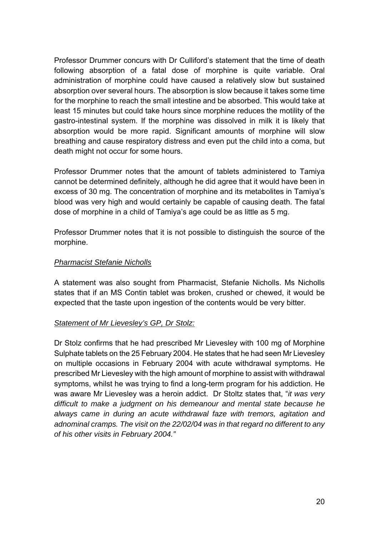Professor Drummer concurs with Dr Culliford's statement that the time of death following absorption of a fatal dose of morphine is quite variable. Oral administration of morphine could have caused a relatively slow but sustained absorption over several hours. The absorption is slow because it takes some time for the morphine to reach the small intestine and be absorbed. This would take at least 15 minutes but could take hours since morphine reduces the motility of the gastro-intestinal system. If the morphine was dissolved in milk it is likely that absorption would be more rapid. Significant amounts of morphine will slow breathing and cause respiratory distress and even put the child into a coma, but death might not occur for some hours.

Professor Drummer notes that the amount of tablets administered to Tamiya cannot be determined definitely, although he did agree that it would have been in excess of 30 mg. The concentration of morphine and its metabolites in Tamiya's blood was very high and would certainly be capable of causing death. The fatal dose of morphine in a child of Tamiya's age could be as little as 5 mg.

Professor Drummer notes that it is not possible to distinguish the source of the morphine.

#### *Pharmacist Stefanie Nicholls*

A statement was also sought from Pharmacist, Stefanie Nicholls. Ms Nicholls states that if an MS Contin tablet was broken, crushed or chewed, it would be expected that the taste upon ingestion of the contents would be very bitter.

#### *Statement of Mr Lievesley's GP, Dr Stolz:*

Dr Stolz confirms that he had prescribed Mr Lievesley with 100 mg of Morphine Sulphate tablets on the 25 February 2004. He states that he had seen Mr Lievesley on multiple occasions in February 2004 with acute withdrawal symptoms. He prescribed Mr Lievesley with the high amount of morphine to assist with withdrawal symptoms, whilst he was trying to find a long-term program for his addiction. He was aware Mr Lievesley was a heroin addict. Dr Stoltz states that, "*it was very difficult to make a judgment on his demeanour and mental state because he always came in during an acute withdrawal faze with tremors, agitation and adnominal cramps. The visit on the 22/02/04 was in that regard no different to any of his other visits in February 2004."*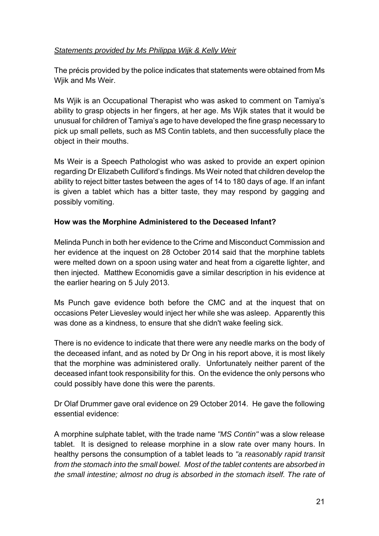#### *Statements provided by Ms Philippa Wijk & Kelly Weir*

The précis provided by the police indicates that statements were obtained from Ms Wiik and Ms Weir.

Ms Wjik is an Occupational Therapist who was asked to comment on Tamiya's ability to grasp objects in her fingers, at her age. Ms Wjik states that it would be unusual for children of Tamiya's age to have developed the fine grasp necessary to pick up small pellets, such as MS Contin tablets, and then successfully place the object in their mouths.

Ms Weir is a Speech Pathologist who was asked to provide an expert opinion regarding Dr Elizabeth Culliford's findings. Ms Weir noted that children develop the ability to reject bitter tastes between the ages of 14 to 180 days of age. If an infant is given a tablet which has a bitter taste, they may respond by gagging and possibly vomiting.

#### **How was the Morphine Administered to the Deceased Infant?**

Melinda Punch in both her evidence to the Crime and Misconduct Commission and her evidence at the inquest on 28 October 2014 said that the morphine tablets were melted down on a spoon using water and heat from a cigarette lighter, and then injected. Matthew Economidis gave a similar description in his evidence at the earlier hearing on 5 July 2013.

Ms Punch gave evidence both before the CMC and at the inquest that on occasions Peter Lievesley would inject her while she was asleep. Apparently this was done as a kindness, to ensure that she didn't wake feeling sick.

There is no evidence to indicate that there were any needle marks on the body of the deceased infant, and as noted by Dr Ong in his report above, it is most likely that the morphine was administered orally. Unfortunately neither parent of the deceased infant took responsibility for this. On the evidence the only persons who could possibly have done this were the parents.

Dr Olaf Drummer gave oral evidence on 29 October 2014. He gave the following essential evidence:

A morphine sulphate tablet, with the trade name *"MS Contin"* was a slow release tablet. It is designed to release morphine in a slow rate over many hours. In healthy persons the consumption of a tablet leads to *"a reasonably rapid transit from the stomach into the small bowel. Most of the tablet contents are absorbed in the small intestine; almost no drug is absorbed in the stomach itself. The rate of*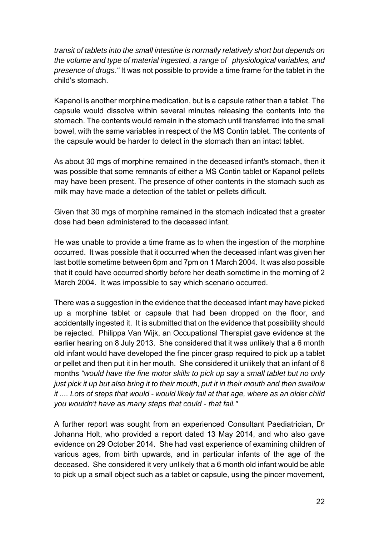*transit of tablets into the small intestine is normally relatively short but depends on the volume and type of material ingested, a range of physiological variables, and presence of drugs."* It was not possible to provide a time frame for the tablet in the child's stomach.

Kapanol is another morphine medication, but is a capsule rather than a tablet. The capsule would dissolve within several minutes releasing the contents into the stomach. The contents would remain in the stomach until transferred into the small bowel, with the same variables in respect of the MS Contin tablet. The contents of the capsule would be harder to detect in the stomach than an intact tablet.

As about 30 mgs of morphine remained in the deceased infant's stomach, then it was possible that some remnants of either a MS Contin tablet or Kapanol pellets may have been present. The presence of other contents in the stomach such as milk may have made a detection of the tablet or pellets difficult.

Given that 30 mgs of morphine remained in the stomach indicated that a greater dose had been administered to the deceased infant.

He was unable to provide a time frame as to when the ingestion of the morphine occurred. It was possible that it occurred when the deceased infant was given her last bottle sometime between 6pm and 7pm on 1 March 2004. It was also possible that it could have occurred shortly before her death sometime in the morning of 2 March 2004. It was impossible to say which scenario occurred.

There was a suggestion in the evidence that the deceased infant may have picked up a morphine tablet or capsule that had been dropped on the floor, and accidentally ingested it. It is submitted that on the evidence that possibility should be rejected. Philippa Van Wijk, an Occupational Therapist gave evidence at the earlier hearing on 8 July 2013. She considered that it was unlikely that a 6 month old infant would have developed the fine pincer grasp required to pick up a tablet or pellet and then put it in her mouth. She considered it unlikely that an infant of 6 months *"would have the fine motor skills to pick up say a small tablet but no only just pick it up but also bring it to their mouth, put it in their mouth and then swallow it .... Lots of steps that would - would likely fail at that age, where as an older child you wouldn't have as many steps that could - that fail."*

A further report was sought from an experienced Consultant Paediatrician, Dr Johanna Holt, who provided a report dated 13 May 2014, and who also gave evidence on 29 October 2014. She had vast experience of examining children of various ages, from birth upwards, and in particular infants of the age of the deceased. She considered it very unlikely that a 6 month old infant would be able to pick up a small object such as a tablet or capsule, using the pincer movement,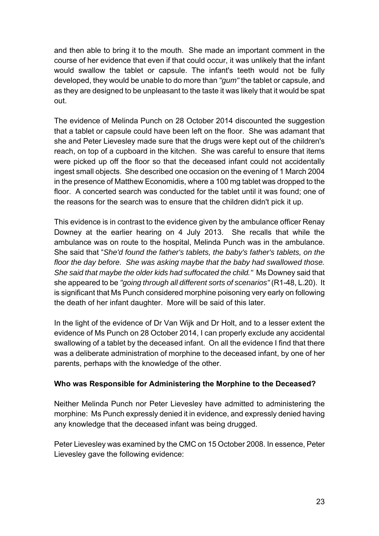and then able to bring it to the mouth. She made an important comment in the course of her evidence that even if that could occur, it was unlikely that the infant would swallow the tablet or capsule. The infant's teeth would not be fully developed, they would be unable to do more than *"gum"* the tablet or capsule, and as they are designed to be unpleasant to the taste it was likely that it would be spat out.

The evidence of Melinda Punch on 28 October 2014 discounted the suggestion that a tablet or capsule could have been left on the floor. She was adamant that she and Peter Lievesley made sure that the drugs were kept out of the children's reach, on top of a cupboard in the kitchen. She was careful to ensure that items were picked up off the floor so that the deceased infant could not accidentally ingest small objects. She described one occasion on the evening of 1 March 2004 in the presence of Matthew Economidis, where a 100 mg tablet was dropped to the floor. A concerted search was conducted for the tablet until it was found; one of the reasons for the search was to ensure that the children didn't pick it up.

This evidence is in contrast to the evidence given by the ambulance officer Renay Downey at the earlier hearing on 4 July 2013. She recalls that while the ambulance was on route to the hospital, Melinda Punch was in the ambulance. She said that "*She'd found the father's tablets, the baby's father's tablets, on the floor the day before. She was asking maybe that the baby had swallowed those. She said that maybe the older kids had suffocated the child."* Ms Downey said that she appeared to be *"going through all different sorts of scenarios"* (R1-48, L.20). It is significant that Ms Punch considered morphine poisoning very early on following the death of her infant daughter. More will be said of this later.

In the light of the evidence of Dr Van Wijk and Dr Holt, and to a lesser extent the evidence of Ms Punch on 28 October 2014, I can properly exclude any accidental swallowing of a tablet by the deceased infant. On all the evidence I find that there was a deliberate administration of morphine to the deceased infant, by one of her parents, perhaps with the knowledge of the other.

#### **Who was Responsible for Administering the Morphine to the Deceased?**

Neither Melinda Punch nor Peter Lievesley have admitted to administering the morphine: Ms Punch expressly denied it in evidence, and expressly denied having any knowledge that the deceased infant was being drugged.

Peter Lievesley was examined by the CMC on 15 October 2008. In essence, Peter Lievesley gave the following evidence: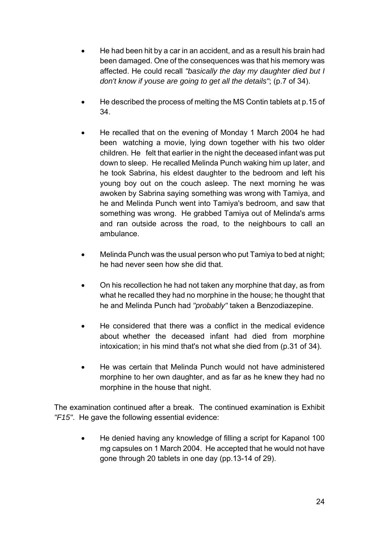- He had been hit by a car in an accident, and as a result his brain had been damaged. One of the consequences was that his memory was affected. He could recall *"basically the day my daughter died but I don't know if youse are going to get all the details"*; (p.7 of 34).
- He described the process of melting the MS Contin tablets at p.15 of 34.
- He recalled that on the evening of Monday 1 March 2004 he had been watching a movie, lying down together with his two older children. He felt that earlier in the night the deceased infant was put down to sleep. He recalled Melinda Punch waking him up later, and he took Sabrina, his eldest daughter to the bedroom and left his young boy out on the couch asleep. The next morning he was awoken by Sabrina saying something was wrong with Tamiya, and he and Melinda Punch went into Tamiya's bedroom, and saw that something was wrong. He grabbed Tamiya out of Melinda's arms and ran outside across the road, to the neighbours to call an ambulance.
- Melinda Punch was the usual person who put Tamiya to bed at night; he had never seen how she did that.
- On his recollection he had not taken any morphine that day, as from what he recalled they had no morphine in the house; he thought that he and Melinda Punch had *"probably"* taken a Benzodiazepine.
- He considered that there was a conflict in the medical evidence about whether the deceased infant had died from morphine intoxication; in his mind that's not what she died from (p.31 of 34).
- He was certain that Melinda Punch would not have administered morphine to her own daughter, and as far as he knew they had no morphine in the house that night.

The examination continued after a break. The continued examination is Exhibit *"F15"*. He gave the following essential evidence:

 He denied having any knowledge of filling a script for Kapanol 100 mg capsules on 1 March 2004. He accepted that he would not have gone through 20 tablets in one day (pp.13-14 of 29).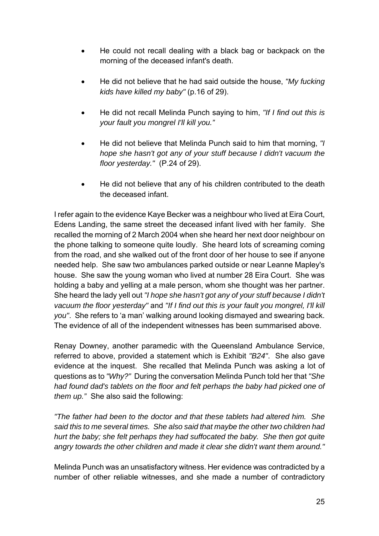- He could not recall dealing with a black bag or backpack on the morning of the deceased infant's death.
- He did not believe that he had said outside the house, *"My fucking kids have killed my baby"* (p.16 of 29).
- He did not recall Melinda Punch saying to him, *"If I find out this is your fault you mongrel I'll kill you."*
- He did not believe that Melinda Punch said to him that morning, *"I hope she hasn't got any of your stuff because I didn't vacuum the floor yesterday."* (P.24 of 29).
- He did not believe that any of his children contributed to the death the deceased infant.

I refer again to the evidence Kaye Becker was a neighbour who lived at Eira Court, Edens Landing, the same street the deceased infant lived with her family. She recalled the morning of 2 March 2004 when she heard her next door neighbour on the phone talking to someone quite loudly. She heard lots of screaming coming from the road, and she walked out of the front door of her house to see if anyone needed help. She saw two ambulances parked outside or near Leanne Mapley's house. She saw the young woman who lived at number 28 Eira Court. She was holding a baby and yelling at a male person, whom she thought was her partner. She heard the lady yell out *"I hope she hasn't got any of your stuff because I didn't vacuum the floor yesterday"* and *"If I find out this is your fault you mongrel, I'll kill you"*. She refers to 'a man' walking around looking dismayed and swearing back. The evidence of all of the independent witnesses has been summarised above.

Renay Downey, another paramedic with the Queensland Ambulance Service, referred to above, provided a statement which is Exhibit *"B24"*. She also gave evidence at the inquest. She recalled that Melinda Punch was asking a lot of questions as to *"Why?"* During the conversation Melinda Punch told her that *"She had found dad's tablets on the floor and felt perhaps the baby had picked one of them up."* She also said the following:

*"The father had been to the doctor and that these tablets had altered him. She said this to me several times. She also said that maybe the other two children had hurt the baby; she felt perhaps they had suffocated the baby. She then got quite angry towards the other children and made it clear she didn't want them around."* 

Melinda Punch was an unsatisfactory witness. Her evidence was contradicted by a number of other reliable witnesses, and she made a number of contradictory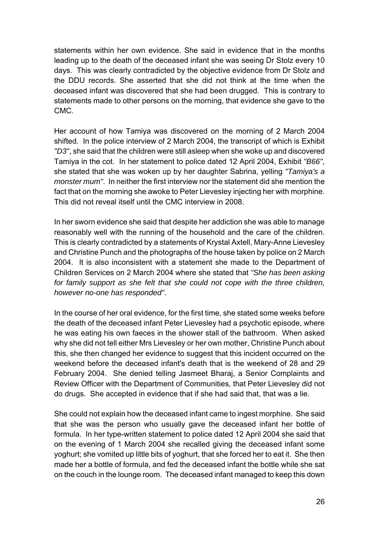statements within her own evidence. She said in evidence that in the months leading up to the death of the deceased infant she was seeing Dr Stolz every 10 days. This was clearly contradicted by the objective evidence from Dr Stolz and the DDU records. She asserted that she did not think at the time when the deceased infant was discovered that she had been drugged. This is contrary to statements made to other persons on the morning, that evidence she gave to the CMC.

Her account of how Tamiya was discovered on the morning of 2 March 2004 shifted. In the police interview of 2 March 2004, the transcript of which is Exhibit *"D3"*, she said that the children were still asleep when she woke up and discovered Tamiya in the cot. In her statement to police dated 12 April 2004, Exhibit *"B66"*, she stated that she was woken up by her daughter Sabrina, yelling *"Tamiya's a monster mum"*. In neither the first interview nor the statement did she mention the fact that on the morning she awoke to Peter Lievesley injecting her with morphine. This did not reveal itself until the CMC interview in 2008.

In her sworn evidence she said that despite her addiction she was able to manage reasonably well with the running of the household and the care of the children. This is clearly contradicted by a statements of Krystal Axtell, Mary-Anne Lievesley and Christine Punch and the photographs of the house taken by police on 2 March 2004. It is also inconsistent with a statement she made to the Department of Children Services on 2 March 2004 where she stated that *"She has been asking*  for family support as she felt that she could not cope with the three children, *however no-one has responded"*.

In the course of her oral evidence, for the first time, she stated some weeks before the death of the deceased infant Peter Lievesley had a psychotic episode, where he was eating his own faeces in the shower stall of the bathroom. When asked why she did not tell either Mrs Lievesley or her own mother, Christine Punch about this, she then changed her evidence to suggest that this incident occurred on the weekend before the deceased infant's death that is the weekend of 28 and 29 February 2004. She denied telling Jasmeet Bharaj, a Senior Complaints and Review Officer with the Department of Communities, that Peter Lievesley did not do drugs. She accepted in evidence that if she had said that, that was a lie.

She could not explain how the deceased infant came to ingest morphine. She said that she was the person who usually gave the deceased infant her bottle of formula. In her type-written statement to police dated 12 April 2004 she said that on the evening of 1 March 2004 she recalled giving the deceased infant some yoghurt; she vomited up little bits of yoghurt, that she forced her to eat it. She then made her a bottle of formula, and fed the deceased infant the bottle while she sat on the couch in the lounge room. The deceased infant managed to keep this down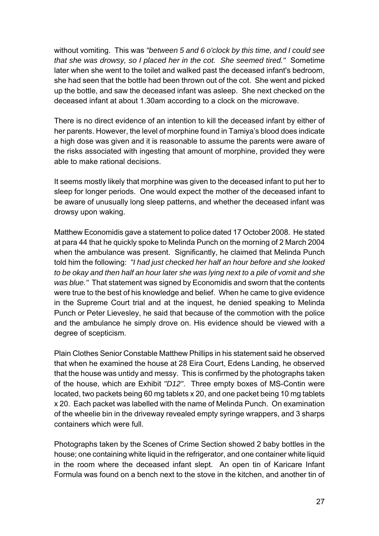without vomiting. This was *"between 5 and 6 o'clock by this time, and I could see that she was drowsy, so I placed her in the cot. She seemed tired."* Sometime later when she went to the toilet and walked past the deceased infant's bedroom, she had seen that the bottle had been thrown out of the cot. She went and picked up the bottle, and saw the deceased infant was asleep. She next checked on the deceased infant at about 1.30am according to a clock on the microwave.

There is no direct evidence of an intention to kill the deceased infant by either of her parents. However, the level of morphine found in Tamiya's blood does indicate a high dose was given and it is reasonable to assume the parents were aware of the risks associated with ingesting that amount of morphine, provided they were able to make rational decisions.

It seems mostly likely that morphine was given to the deceased infant to put her to sleep for longer periods. One would expect the mother of the deceased infant to be aware of unusually long sleep patterns, and whether the deceased infant was drowsy upon waking.

Matthew Economidis gave a statement to police dated 17 October 2008. He stated at para 44 that he quickly spoke to Melinda Punch on the morning of 2 March 2004 when the ambulance was present. Significantly, he claimed that Melinda Punch told him the following: *"I had just checked her half an hour before and she looked to be okay and then half an hour later she was lying next to a pile of vomit and she was blue."* That statement was signed by Economidis and sworn that the contents were true to the best of his knowledge and belief. When he came to give evidence in the Supreme Court trial and at the inquest, he denied speaking to Melinda Punch or Peter Lievesley, he said that because of the commotion with the police and the ambulance he simply drove on. His evidence should be viewed with a degree of scepticism.

Plain Clothes Senior Constable Matthew Phillips in his statement said he observed that when he examined the house at 28 Eira Court, Edens Landing, he observed that the house was untidy and messy. This is confirmed by the photographs taken of the house, which are Exhibit *"D12"*. Three empty boxes of MS-Contin were located, two packets being 60 mg tablets x 20, and one packet being 10 mg tablets x 20. Each packet was labelled with the name of Melinda Punch. On examination of the wheelie bin in the driveway revealed empty syringe wrappers, and 3 sharps containers which were full.

Photographs taken by the Scenes of Crime Section showed 2 baby bottles in the house; one containing white liquid in the refrigerator, and one container white liquid in the room where the deceased infant slept. An open tin of Karicare Infant Formula was found on a bench next to the stove in the kitchen, and another tin of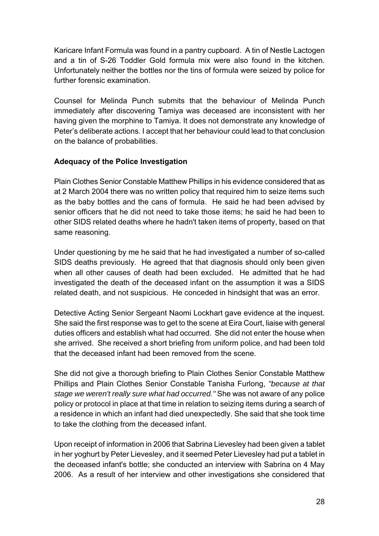Karicare Infant Formula was found in a pantry cupboard. A tin of Nestle Lactogen and a tin of S-26 Toddler Gold formula mix were also found in the kitchen. Unfortunately neither the bottles nor the tins of formula were seized by police for further forensic examination.

Counsel for Melinda Punch submits that the behaviour of Melinda Punch immediately after discovering Tamiya was deceased are inconsistent with her having given the morphine to Tamiya. It does not demonstrate any knowledge of Peter's deliberate actions. I accept that her behaviour could lead to that conclusion on the balance of probabilities.

## **Adequacy of the Police Investigation**

Plain Clothes Senior Constable Matthew Phillips in his evidence considered that as at 2 March 2004 there was no written policy that required him to seize items such as the baby bottles and the cans of formula. He said he had been advised by senior officers that he did not need to take those items; he said he had been to other SIDS related deaths where he hadn't taken items of property, based on that same reasoning.

Under questioning by me he said that he had investigated a number of so-called SIDS deaths previously. He agreed that that diagnosis should only been given when all other causes of death had been excluded. He admitted that he had investigated the death of the deceased infant on the assumption it was a SIDS related death, and not suspicious. He conceded in hindsight that was an error.

Detective Acting Senior Sergeant Naomi Lockhart gave evidence at the inquest. She said the first response was to get to the scene at Eira Court, liaise with general duties officers and establish what had occurred. She did not enter the house when she arrived. She received a short briefing from uniform police, and had been told that the deceased infant had been removed from the scene.

She did not give a thorough briefing to Plain Clothes Senior Constable Matthew Phillips and Plain Clothes Senior Constable Tanisha Furlong, *"because at that stage we weren't really sure what had occurred."* She was not aware of any police policy or protocol in place at that time in relation to seizing items during a search of a residence in which an infant had died unexpectedly. She said that she took time to take the clothing from the deceased infant.

Upon receipt of information in 2006 that Sabrina Lievesley had been given a tablet in her yoghurt by Peter Lievesley, and it seemed Peter Lievesley had put a tablet in the deceased infant's bottle; she conducted an interview with Sabrina on 4 May 2006. As a result of her interview and other investigations she considered that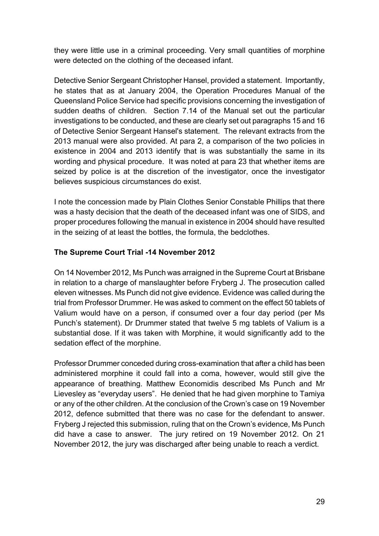they were little use in a criminal proceeding. Very small quantities of morphine were detected on the clothing of the deceased infant.

Detective Senior Sergeant Christopher Hansel, provided a statement. Importantly, he states that as at January 2004, the Operation Procedures Manual of the Queensland Police Service had specific provisions concerning the investigation of sudden deaths of children. Section 7.14 of the Manual set out the particular investigations to be conducted, and these are clearly set out paragraphs 15 and 16 of Detective Senior Sergeant Hansel's statement. The relevant extracts from the 2013 manual were also provided. At para 2, a comparison of the two policies in existence in 2004 and 2013 identify that is was substantially the same in its wording and physical procedure. It was noted at para 23 that whether items are seized by police is at the discretion of the investigator, once the investigator believes suspicious circumstances do exist.

I note the concession made by Plain Clothes Senior Constable Phillips that there was a hasty decision that the death of the deceased infant was one of SIDS, and proper procedures following the manual in existence in 2004 should have resulted in the seizing of at least the bottles, the formula, the bedclothes.

#### **The Supreme Court Trial -14 November 2012**

On 14 November 2012, Ms Punch was arraigned in the Supreme Court at Brisbane in relation to a charge of manslaughter before Fryberg J. The prosecution called eleven witnesses. Ms Punch did not give evidence. Evidence was called during the trial from Professor Drummer. He was asked to comment on the effect 50 tablets of Valium would have on a person, if consumed over a four day period (per Ms Punch's statement). Dr Drummer stated that twelve 5 mg tablets of Valium is a substantial dose. If it was taken with Morphine, it would significantly add to the sedation effect of the morphine.

Professor Drummer conceded during cross-examination that after a child has been administered morphine it could fall into a coma, however, would still give the appearance of breathing. Matthew Economidis described Ms Punch and Mr Lievesley as "everyday users". He denied that he had given morphine to Tamiya or any of the other children. At the conclusion of the Crown's case on 19 November 2012, defence submitted that there was no case for the defendant to answer. Fryberg J rejected this submission, ruling that on the Crown's evidence, Ms Punch did have a case to answer. The jury retired on 19 November 2012. On 21 November 2012, the jury was discharged after being unable to reach a verdict.